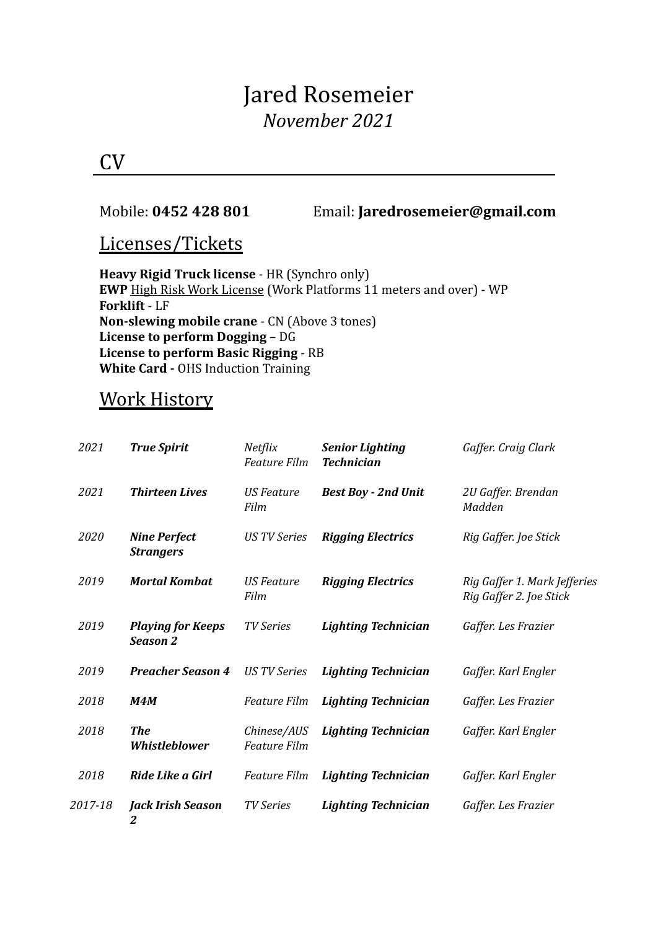# Jared Rosemeier *November 2021*

## CV

#### Mobile: **0452 428 801** Email: **Jaredrosemeier@gmail.com**

### Licenses/Tickets

**Heavy Rigid Truck license** - HR (Synchro only) **EWP** High Risk Work License (Work Platforms 11 meters and over) - WP **Forklift** - LF **Non-slewing mobile crane** - CN (Above 3 tones) **License to perform Dogging** – DG **License to perform Basic Rigging** - RB **White Card -** OHS Induction Training

## Work History

| 2021    | <b>True Spirit</b>                          | Netflix<br><b>Feature Film</b>     | <b>Senior Lighting</b><br><b>Technician</b> | Gaffer. Craig Clark                                     |
|---------|---------------------------------------------|------------------------------------|---------------------------------------------|---------------------------------------------------------|
| 2021    | <b>Thirteen Lives</b>                       | <b>US Feature</b><br>Film          | <b>Best Boy - 2nd Unit</b>                  | 2U Gaffer. Brendan<br>Madden                            |
| 2020    | <b>Nine Perfect</b><br><b>Strangers</b>     | <b>US TV Series</b>                | <b>Rigging Electrics</b>                    | Rig Gaffer. Joe Stick                                   |
| 2019    | <b>Mortal Kombat</b>                        | <b>US Feature</b><br>Film          | <b>Rigging Electrics</b>                    | Rig Gaffer 1. Mark Jefferies<br>Rig Gaffer 2. Joe Stick |
| 2019    | <b>Playing for Keeps</b><br><b>Season 2</b> | <b>TV Series</b>                   | <b>Lighting Technician</b>                  | Gaffer. Les Frazier                                     |
| 2019    | <b>Preacher Season 4</b>                    | <b>US TV Series</b>                | <b>Lighting Technician</b>                  | Gaffer. Karl Engler                                     |
| 2018    | <b>M4M</b>                                  | <b>Feature Film</b>                | <b>Lighting Technician</b>                  | Gaffer. Les Frazier                                     |
| 2018    | <b>The</b><br>Whistleblower                 | Chinese/AUS<br><b>Feature Film</b> | <b>Lighting Technician</b>                  | Gaffer. Karl Engler                                     |
| 2018    | Ride Like a Girl                            | Feature Film                       | <b>Lighting Technician</b>                  | Gaffer. Karl Engler                                     |
| 2017-18 | <b>Jack Irish Season</b><br>2               | <b>TV Series</b>                   | <b>Lighting Technician</b>                  | Gaffer. Les Frazier                                     |